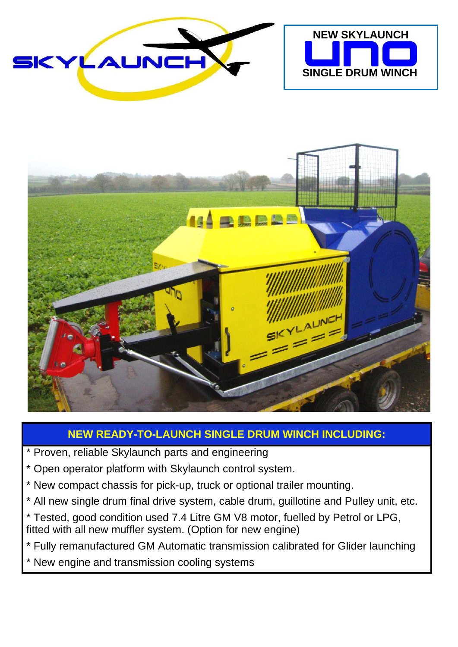





## **NEW READY-TO-LAUNCH SINGLE DRUM WINCH INCLUDING:**

- \* Proven, reliable Skylaunch parts and engineering
- \* Open operator platform with Skylaunch control system.
- \* New compact chassis for pick-up, truck or optional trailer mounting.
- \* All new single drum final drive system, cable drum, guillotine and Pulley unit, etc.
- \* Tested, good condition used 7.4 Litre GM V8 motor, fuelled by Petrol or LPG, fitted with all new muffler system. (Option for new engine)
- \* Fully remanufactured GM Automatic transmission calibrated for Glider launching
- \* New engine and transmission cooling systems